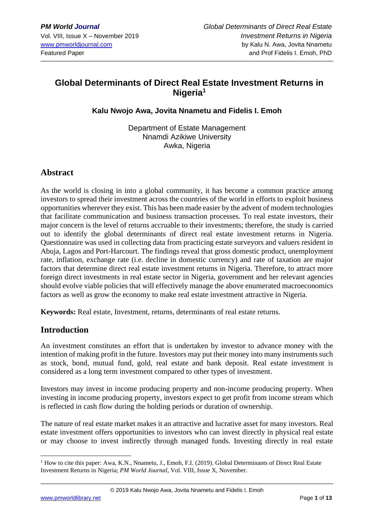# **Global Determinants of Direct Real Estate Investment Returns in Nigeria<sup>1</sup>**

#### **Kalu Nwojo Awa, Jovita Nnametu and Fidelis I. Emoh**

Department of Estate Management Nnamdi Azikiwe University Awka, Nigeria

#### **Abstract**

As the world is closing in into a global community, it has become a common practice among investors to spread their investment across the countries of the world in efforts to exploit business opportunities wherever they exist. This has been made easier by the advent of modern technologies that facilitate communication and business transaction processes. To real estate investors, their major concern is the level of returns accruable to their investments; therefore, the study is carried out to identify the global determinants of direct real estate investment returns in Nigeria. Questionnaire was used in collecting data from practicing estate surveyors and valuers resident in Abuja, Lagos and Port-Harcourt. The findings reveal that gross domestic product, unemployment rate, inflation, exchange rate (i.e. decline in domestic currency) and rate of taxation are major factors that determine direct real estate investment returns in Nigeria. Therefore, to attract more foreign direct investments in real estate sector in Nigeria, government and her relevant agencies should evolve viable policies that will effectively manage the above enumerated macroeconomics factors as well as grow the economy to make real estate investment attractive in Nigeria.

**Keywords:** Real estate, Investment, returns, determinants of real estate returns.

#### **Introduction**

An investment constitutes an effort that is undertaken by investor to advance money with the intention of making profit in the future. Investors may put their money into many instruments such as stock, bond, mutual fund, gold, real estate and bank deposit. Real estate investment is considered as a long term investment compared to other types of investment.

Investors may invest in income producing property and non-income producing property. When investing in income producing property, investors expect to get profit from income stream which is reflected in cash flow during the holding periods or duration of ownership.

The nature of real estate market makes it an attractive and lucrative asset for many investors. Real estate investment offers opportunities to investors who can invest directly in physical real estate or may choose to invest indirectly through managed funds. Investing directly in real estate

<sup>1</sup> How to cite this paper: Awa, K.N., Nnametu, J., Emoh, F.I. (2019). Global Determinants of Direct Real Estate Investment Returns in Nigeria; *PM World Journal*, Vol. VIII, Issue X, November.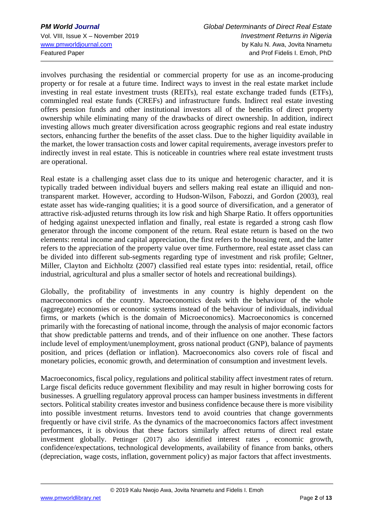involves purchasing the residential or commercial property for use as an income-producing property or for resale at a future time. Indirect ways to invest in the real estate market include investing in real estate investment trusts (REITs), real estate exchange traded funds (ETFs), commingled real estate funds (CREFs) and infrastructure funds. Indirect real estate investing offers pension funds and other institutional investors all of the benefits of direct property ownership while eliminating many of the drawbacks of direct ownership. In addition, indirect investing allows much greater diversification across geographic regions and real estate industry sectors, enhancing further the benefits of the asset class. Due to the higher liquidity available in the market, the lower transaction costs and lower capital requirements, average investors prefer to indirectly invest in real estate. This is noticeable in countries where real estate investment trusts are operational.

Real estate is a challenging asset class due to its unique and heterogenic character, and it is typically traded between individual buyers and sellers making real estate an illiquid and nontransparent market. However, according to Hudson-Wilson, Fabozzi, and Gordon (2003), real estate asset has wide-ranging qualities; it is a good source of diversification, and a generator of attractive risk-adjusted returns through its low risk and high Sharpe Ratio. It offers opportunities of hedging against unexpected inflation and finally, real estate is regarded a strong cash flow generator through the income component of the return. Real estate return is based on the two elements: rental income and capital appreciation, the first refers to the housing rent, and the latter refers to the appreciation of the property value over time. Furthermore, real estate asset class can be divided into different sub-segments regarding type of investment and risk profile; Geltner, Miller, Clayton and Eichholtz (2007) classified real estate types into: residential, retail, office industrial, agricultural and plus a smaller sector of hotels and recreational buildings).

Globally, the profitability of investments in any country is highly dependent on the macroeconomics of the country. Macroeconomics deals with the behaviour of the whole (aggregate) economies or economic systems instead of the behaviour of individuals, individual firms, or markets (which is the domain of Microeconomics). Macroeconomics is concerned primarily with the forecasting of national income, through the analysis of major economic factors that show predictable patterns and trends, and of their influence on one another. These factors include level of employment/unemployment, gross national product (GNP), balance of payments position, and prices (deflation or inflation). Macroeconomics also covers role of fiscal and monetary policies, economic growth, and determination of consumption and investment levels.

Macroeconomics, fiscal policy, regulations and political stability affect investment rates of return. Large fiscal deficits reduce government flexibility and may result in higher borrowing costs for businesses. A gruelling regulatory approval process can hamper business investments in different sectors. Political stability creates investor and business confidence because there is more visibility into possible investment returns. Investors tend to avoid countries that change governments frequently or have civil strife. As the dynamics of the macroeconomics factors affect investment performances, it is obvious that these factors similarly affect returns of direct real estate investment globally. Pettinger (2017) also identified interest rates , economic growth, confidence/expectations, technological developments, availability of finance from banks, others (depreciation, wage costs, inflation, government policy) as major factors that affect investments.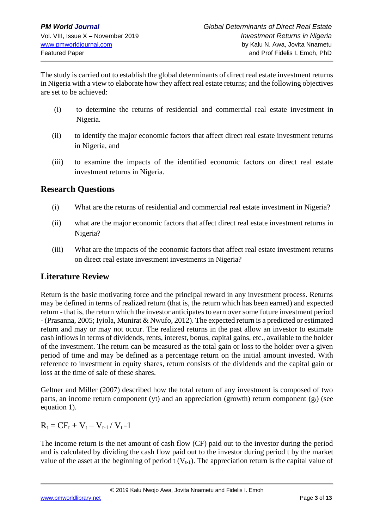The study is carried out to establish the global determinants of direct real estate investment returns in Nigeria with a view to elaborate how they affect real estate returns; and the following objectives are set to be achieved:

- (i) to determine the returns of residential and commercial real estate investment in Nigeria.
- (ii) to identify the major economic factors that affect direct real estate investment returns in Nigeria, and
- (iii) to examine the impacts of the identified economic factors on direct real estate investment returns in Nigeria.

### **Research Questions**

- (i) What are the returns of residential and commercial real estate investment in Nigeria?
- (ii) what are the major economic factors that affect direct real estate investment returns in Nigeria?
- (iii) What are the impacts of the economic factors that affect real estate investment returns on direct real estate investment investments in Nigeria?

### **Literature Review**

Return is the basic motivating force and the principal reward in any investment process. Returns may be defined in terms of realized return (that is, the return which has been earned) and expected return - that is, the return which the investor anticipates to earn over some future investment period - (Prasanna, 2005; Iyiola, Munirat & Nwufo, 2012). The expected return is a predicted or estimated return and may or may not occur. The realized returns in the past allow an investor to estimate cash inflows in terms of dividends, rents, interest, bonus, capital gains, etc., available to the holder of the investment. The return can be measured as the total gain or loss to the holder over a given period of time and may be defined as a percentage return on the initial amount invested. With reference to investment in equity shares, return consists of the dividends and the capital gain or loss at the time of sale of these shares.

Geltner and Miller (2007) described how the total return of any investment is composed of two parts, an income return component (yt) and an appreciation (growth) return component  $(g_t)$  (see equation 1).

 $R_t = C F_t + V_t - V_{t-1} / V_t - 1$ 

The income return is the net amount of cash flow (CF) paid out to the investor during the period and is calculated by dividing the cash flow paid out to the investor during period t by the market value of the asset at the beginning of period t  $(V_{t-1})$ . The appreciation return is the capital value of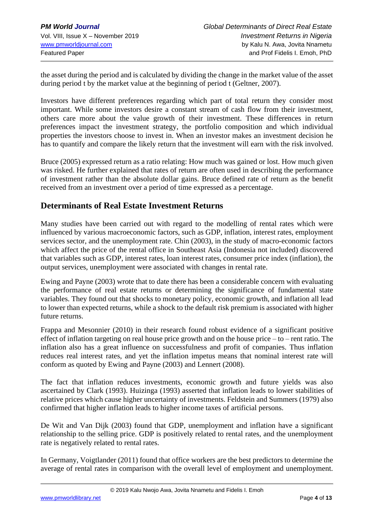the asset during the period and is calculated by dividing the change in the market value of the asset during period t by the market value at the beginning of period t (Geltner, 2007).

Investors have different preferences regarding which part of total return they consider most important. While some investors desire a constant stream of cash flow from their investment, others care more about the value growth of their investment. These differences in return preferences impact the investment strategy, the portfolio composition and which individual properties the investors choose to invest in. When an investor makes an investment decision he has to quantify and compare the likely return that the investment will earn with the risk involved.

Bruce (2005) expressed return as a ratio relating: How much was gained or lost. How much given was risked. He further explained that rates of return are often used in describing the performance of investment rather than the absolute dollar gains. Bruce defined rate of return as the benefit received from an investment over a period of time expressed as a percentage.

#### **Determinants of Real Estate Investment Returns**

Many studies have been carried out with regard to the modelling of rental rates which were influenced by various macroeconomic factors, such as GDP, inflation, interest rates, employment services sector, and the unemployment rate. Chin (2003), in the study of macro-economic factors which affect the price of the rental office in Southeast Asia (Indonesia not included) discovered that variables such as GDP, interest rates, loan interest rates, consumer price index (inflation), the output services, unemployment were associated with changes in rental rate.

Ewing and Payne (2003) wrote that to date there has been a considerable concern with evaluating the performance of real estate returns or determining the significance of fundamental state variables. They found out that shocks to monetary policy, economic growth, and inflation all lead to lower than expected returns, while a shock to the default risk premium is associated with higher future returns.

Frappa and Mesonnier (2010) in their research found robust evidence of a significant positive effect of inflation targeting on real house price growth and on the house price – to – rent ratio. The inflation also has a great influence on successfulness and profit of companies. Thus inflation reduces real interest rates, and yet the inflation impetus means that nominal interest rate will conform as quoted by Ewing and Payne (2003) and Lennert (2008).

The fact that inflation reduces investments, economic growth and future yields was also ascertained by Clark (1993). Huizinga (1993) asserted that inflation leads to lower stabilities of relative prices which cause higher uncertainty of investments. Feldstein and Summers (1979) also confirmed that higher inflation leads to higher income taxes of artificial persons.

De Wit and Van Dijk (2003) found that GDP, unemployment and inflation have a significant relationship to the selling price. GDP is positively related to rental rates, and the unemployment rate is negatively related to rental rates.

In Germany, Voigtlander (2011) found that office workers are the best predictors to determine the average of rental rates in comparison with the overall level of employment and unemployment.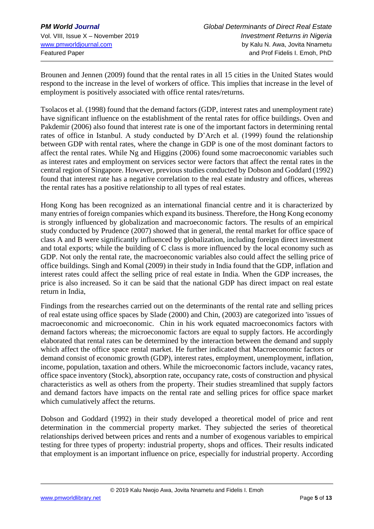Brounen and Jennen (2009) found that the rental rates in all 15 cities in the United States would respond to the increase in the level of workers of office. This implies that increase in the level of employment is positively associated with office rental rates/returns.

Tsolacos et al. (1998) found that the demand factors (GDP, interest rates and unemployment rate) have significant influence on the establishment of the rental rates for office buildings. Oven and Pakdemir (2006) also found that interest rate is one of the important factors in determining rental rates of office in Istanbul. A study conducted by D'Arch et al. (1999) found the relationship between GDP with rental rates, where the change in GDP is one of the most dominant factors to affect the rental rates. While Ng and Higgins (2006) found some macroeconomic variables such as interest rates and employment on services sector were factors that affect the rental rates in the central region of Singapore. However, previous studies conducted by Dobson and Goddard (1992) found that interest rate has a negative correlation to the real estate industry and offices, whereas the rental rates has a positive relationship to all types of real estates.

Hong Kong has been recognized as an international financial centre and it is characterized by many entries of foreign companies which expand its business. Therefore, the Hong Kong economy is strongly influenced by globalization and macroeconomic factors. The results of an empirical study conducted by Prudence (2007) showed that in general, the rental market for office space of class A and B were significantly influenced by globalization, including foreign direct investment and total exports; while the building of C class is more influenced by the local economy such as GDP. Not only the rental rate, the macroeconomic variables also could affect the selling price of office buildings. Singh and Komal (2009) in their study in India found that the GDP, inflation and interest rates could affect the selling price of real estate in India. When the GDP increases, the price is also increased. So it can be said that the national GDP has direct impact on real estate return in India,

Findings from the researches carried out on the determinants of the rental rate and selling prices of real estate using office spaces by Slade (2000) and Chin, (2003) are categorized into 'issues of macroeconomic and microeconomic. Chin in his work equated macroeconomics factors with demand factors whereas; the microeconomic factors are equal to supply factors. He accordingly elaborated that rental rates can be determined by the interaction between the demand and supply which affect the office space rental market. He further indicated that Macroeconomic factors or demand consist of economic growth (GDP), interest rates, employment, unemployment, inflation, income, population, taxation and others. While the microeconomic factors include, vacancy rates, office space inventory (Stock), absorption rate, occupancy rate, costs of construction and physical characteristics as well as others from the property. Their studies streamlined that supply factors and demand factors have impacts on the rental rate and selling prices for office space market which cumulatively affect the returns.

Dobson and Goddard (1992) in their study developed a theoretical model of price and rent determination in the commercial property market. They subjected the series of theoretical relationships derived between prices and rents and a number of exogenous variables to empirical testing for three types of property: industrial property, shops and offices. Their results indicated that employment is an important influence on price, especially for industrial property. According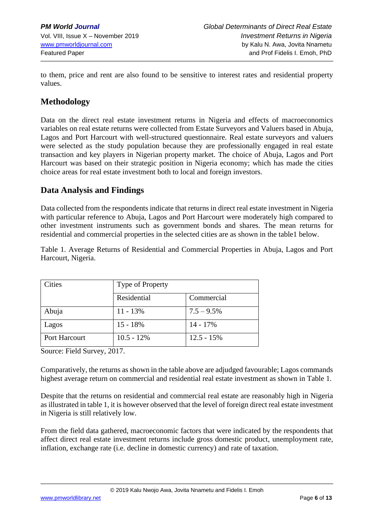to them, price and rent are also found to be sensitive to interest rates and residential property values.

## **Methodology**

Data on the direct real estate investment returns in Nigeria and effects of macroeconomics variables on real estate returns were collected from Estate Surveyors and Valuers based in Abuja, Lagos and Port Harcourt with well-structured questionnaire. Real estate surveyors and valuers were selected as the study population because they are professionally engaged in real estate transaction and key players in Nigerian property market. The choice of Abuja, Lagos and Port Harcourt was based on their strategic position in Nigeria economy; which has made the cities choice areas for real estate investment both to local and foreign investors.

### **Data Analysis and Findings**

Data collected from the respondents indicate that returns in direct real estate investment in Nigeria with particular reference to Abuja, Lagos and Port Harcourt were moderately high compared to other investment instruments such as government bonds and shares. The mean returns for residential and commercial properties in the selected cities are as shown in the table1 below.

Table 1. Average Returns of Residential and Commercial Properties in Abuja, Lagos and Port Harcourt, Nigeria.

| Cities        | Type of Property |               |
|---------------|------------------|---------------|
|               | Residential      | Commercial    |
| Abuja         | $11 - 13%$       | $7.5 - 9.5\%$ |
| Lagos         | $15 - 18%$       | $14 - 17\%$   |
| Port Harcourt | $10.5 - 12\%$    | $12.5 - 15\%$ |

Source: Field Survey, 2017.

Comparatively, the returns as shown in the table above are adjudged favourable; Lagos commands highest average return on commercial and residential real estate investment as shown in Table 1.

Despite that the returns on residential and commercial real estate are reasonably high in Nigeria as illustrated in table 1, it is however observed that the level of foreign direct real estate investment in Nigeria is still relatively low.

From the field data gathered, macroeconomic factors that were indicated by the respondents that affect direct real estate investment returns include gross domestic product, unemployment rate, inflation, exchange rate (i.e. decline in domestic currency) and rate of taxation.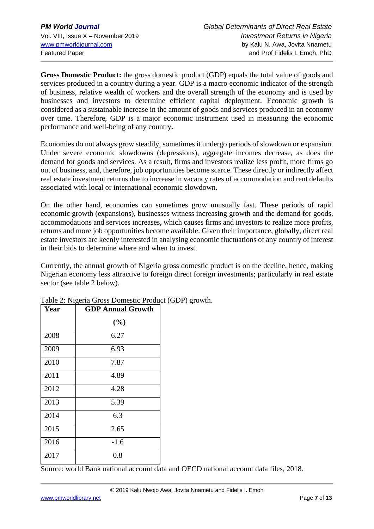**Gross Domestic Product:** the gross domestic product (GDP) equals the total value of goods and services produced in a country during a year. GDP is a macro economic indicator of the strength of business, relative wealth of workers and the overall strength of the economy and is used by businesses and investors to determine efficient capital deployment. Economic growth is considered as a sustainable increase in the amount of goods and services produced in an economy over time. Therefore, GDP is a major economic instrument used in measuring the economic performance and well-being of any country.

Economies do not always grow steadily, sometimes it undergo periods of slowdown or expansion. Under severe economic slowdowns (depressions), aggregate incomes decrease, as does the demand for goods and services. As a result, firms and investors realize less profit, more firms go out of business, and, therefore, job opportunities become scarce. These directly or indirectly affect real estate investment returns due to increase in vacancy rates of accommodation and rent defaults associated with local or international economic slowdown.

On the other hand, economies can sometimes grow unusually fast. These periods of rapid economic growth (expansions), businesses witness increasing growth and the demand for goods, accommodations and services increases, which causes firms and investors to realize more profits, returns and more job opportunities become available. Given their importance, globally, direct real estate investors are keenly interested in analysing economic fluctuations of any country of interest in their bids to determine where and when to invest.

Currently, the annual growth of Nigeria gross domestic product is on the decline, hence, making Nigerian economy less attractive to foreign direct foreign investments; particularly in real estate sector (see table 2 below).

| Year | <b>GDP Annual Growth</b> |  |
|------|--------------------------|--|
|      | (%)                      |  |
| 2008 | 6.27                     |  |
| 2009 | 6.93                     |  |
| 2010 | 7.87                     |  |
| 2011 | 4.89                     |  |
| 2012 | 4.28                     |  |
| 2013 | 5.39                     |  |
| 2014 | 6.3                      |  |
| 2015 | 2.65                     |  |
| 2016 | $-1.6$                   |  |
| 2017 | 0.8                      |  |

Table 2: Nigeria Gross Domestic Product (GDP) growth.

Source: world Bank national account data and OECD national account data files, 2018.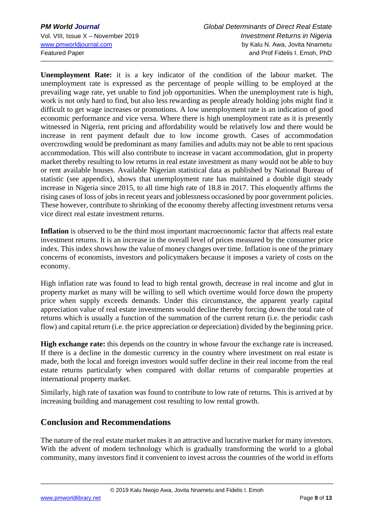**Unemployment Rate:** it is a key indicator of the condition of the labour market. The unemployment rate is expressed as the percentage of people willing to be employed at the prevailing wage rate, yet unable to find job opportunities. When the unemployment rate is high, work is not only hard to find, but also less rewarding as people already holding jobs might find it difficult to get wage increases or promotions. A low unemployment rate is an indication of good economic performance and vice versa. Where there is high unemployment rate as it is presently witnessed in Nigeria, rent pricing and affordability would be relatively low and there would be increase in rent payment default due to low income growth. Cases of accommodation overcrowding would be predominant as many families and adults may not be able to rent spacious accommodation. This will also contribute to increase in vacant accommodation, glut in property market thereby resulting to low returns in real estate investment as many would not be able to buy or rent available houses. Available Nigerian statistical data as published by National Bureau of statistic (see appendix), shows that unemployment rate has maintained a double digit steady increase in Nigeria since 2015, to all time high rate of 18.8 in 2017. This eloquently affirms the rising cases of loss of jobs in recent years and joblessness occasioned by poor government policies. These however, contribute to shrinking of the economy thereby affecting investment returns versa vice direct real estate investment returns.

**Inflation** is observed to be the third most important macroeconomic factor that affects real estate investment returns. It is an increase in the overall level of prices measured by the consumer price index. This index shows how the value of money changes over time. Inflation is one of the primary concerns of economists, investors and policymakers because it imposes a variety of costs on the economy.

High inflation rate was found to lead to high rental growth, decrease in real income and glut in property market as many will be willing to sell which overtime would force down the property price when supply exceeds demands. Under this circumstance, the apparent yearly capital appreciation value of real estate investments would decline thereby forcing down the total rate of returns which is usually a function of the summation of the current return (i.e. the periodic cash flow) and capital return (i.e. the price appreciation or depreciation) divided by the beginning price.

**High exchange rate:** this depends on the country in whose favour the exchange rate is increased. If there is a decline in the domestic currency in the country where investment on real estate is made, both the local and foreign investors would suffer decline in their real income from the real estate returns particularly when compared with dollar returns of comparable properties at international property market.

Similarly, high rate of taxation was found to contribute to low rate of returns. This is arrived at by increasing building and management cost resulting to low rental growth.

### **Conclusion and Recommendations**

The nature of the real estate market makes it an attractive and lucrative market for many investors. With the advent of modern technology which is gradually transforming the world to a global community, many investors find it convenient to invest across the countries of the world in efforts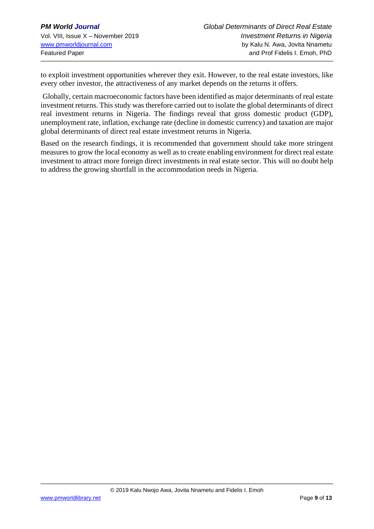to exploit investment opportunities wherever they exit. However, to the real estate investors, like every other investor, the attractiveness of any market depends on the returns it offers.

Globally, certain macroeconomic factors have been identified as major determinants of real estate investment returns. This study was therefore carried out to isolate the global determinants of direct real investment returns in Nigeria. The findings reveal that gross domestic product (GDP), unemployment rate, inflation, exchange rate (decline in domestic currency) and taxation are major global determinants of direct real estate investment returns in Nigeria.

Based on the research findings, it is recommended that government should take more stringent measures to grow the local economy as well as to create enabling environment for direct real estate investment to attract more foreign direct investments in real estate sector. This will no doubt help to address the growing shortfall in the accommodation needs in Nigeria.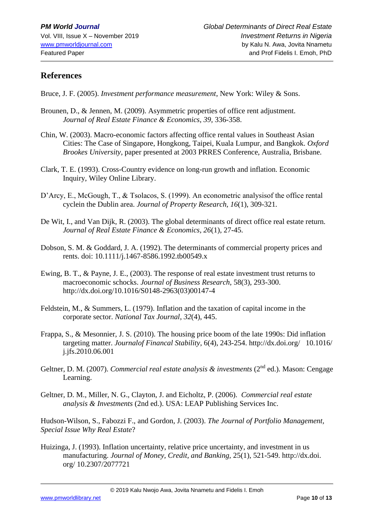#### **References**

Bruce, J. F. (2005). *Investment performance measurement*, New York: Wiley & Sons.

- Brounen, D., & Jennen, M. (2009). Asymmetric properties of office rent adjustment. *Journal of Real Estate Finance & Economics*, *39,* 336-358.
- Chin, W. (2003). Macro-economic factors affecting office rental values in Southeast Asian Cities: The Case of Singapore, Hongkong, Taipei, Kuala Lumpur, and Bangkok. *Oxford Brookes University*, paper presented at 2003 PRRES Conference, Australia, Brisbane.
- Clark, T. E. (1993). Cross-Country evidence on long-run growth and inflation. Economic Inquiry, Wiley Online Library.
- D'Arcy, E., McGough, T., & Tsolacos, S. (1999). An econometric analysisof the office rental cyclein the Dublin area. *Journal of Property Research, 16*(1), 309-321*.*
- De Wit, I., and Van Dijk, R. (2003). The global determinants of direct office real estate return. *Journal of Real Estate Finance & Economics, 26*(1), 27-45.
- Dobson, S. M. & Goddard, J. A. (1992). The determinants of commercial property prices and rents. doi: 10.1111/j.1467-8586.1992.tb00549.x
- Ewing, B. T., & Payne, J. E., (2003). The response of real estate investment trust returns to macroeconomic schocks. *Journal of Business Research*, 58(3), 293-300. [http://dx.doi.org/10.1016/S0148-2963\(03\)00147-4](http://dx.doi.org/10.1016/S0148-2963(03)00147-4)
- Feldstein, M., & Summers, L. (1979). Inflation and the taxation of capital income in the corporate sector. *National Tax Journal*, *32*(4), 445.
- Frappa, S., & Mesonnier, J. S. (2010). The housing price boom of the late 1990s: Did inflation targeting matter. *Journalof Financal Stability*, 6(4), 243-254.<http://dx.doi.org/>10.1016/ [j.jfs.2010.06.001](http://dx.doi.org/10.1016/%20%20%20%20j.jfs.2010.06.001)
- Geltner, D. M. (2007). *Commercial real estate analysis & investments* (2<sup>nd</sup> ed.). Mason: Cengage Learning.
- Geltner, D. M., Miller, N. G., Clayton, J. and Eicholtz, P. (2006). *Commercial real estate analysis & Investments* (2nd ed.). USA: LEAP Publishing Services Inc.

Hudson-Wilson, S., Fabozzi F., and Gordon, J. (2003). *The Journal of Portfolio Management, Special Issue Why Real Estate*?

Huizinga, J. (1993). Inflation uncertainty, relative price uncertainty, and investment in us manufacturing. *Journal of Money, Credit, and Banking,* 25(1), 521-549. http://dx.doi. org/ 10.2307/2077721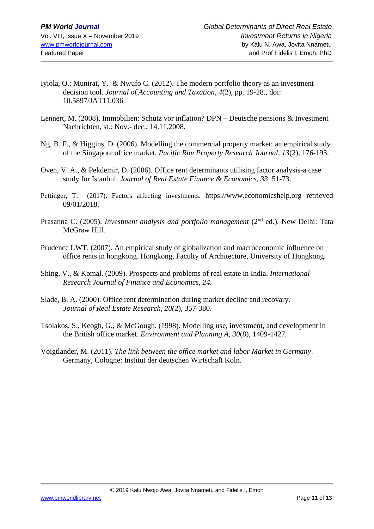- Iyiola, O.; Munirat, Y. & Nwufo C. (2012). The modern portfolio theory as an investment decision tool. *Journal of Accounting and Taxation, 4*(2), pp. 19-28., doi: 10.5897/JAT11.036
- Lennert, M. (2008). Immobilien: Schutz vor inflation? DPN Deutsche pensions & Investment Nachrichten, st.: Nov.- dec., 14.11.2008.
- Ng, B. F., & Higgins, D. (2006). Modelling the commercial property market: an empirical study of the Singapore office market. *Pacific Rim Property Research Journal, 13*(2), 176-193.
- Oven, V. A., & Pekdemir, D. (2006). Office rent determinants utilising factor analysis-a case study for Istanbul. *Journal of Real Estate Finance & Economics, 33,* 51-73.
- Pettinger, T. (2017). Factors affecting investments. [https://www.economicshelp.org](https://www.economicshelp.org/) retrieved 09/01/2018.
- Prasanna C. (2005). *Investment analysis and portfolio management* (2<sup>nd</sup> ed.). New Delhi: Tata McGraw Hill.
- Prudence LWT. (2007). An empirical study of globalization and macroeconomic influence on office rents in hongkong. Hongkong, Faculty of Architecture, University of Hongkong.
- Shing, V., & Komal. (2009). Prospects and problems of real estate in India. *International Research Journal of Finance and Economics, 24.*
- Slade, B. A. (2000). Office rent determination during market decline and recovary. *Journal of Real Estate Research, 20(*2), 357-380.
- Tsolakos, S., Keogh, G., & McGough. (1998). Modelling use, investment, and development in the British office market. *Environment and Planning A, 30*(8), 1409-1427*.*
- Voigtlander, M. (2011). *The link between the office market and labor Market in Germany*. Germany, Cologne: Institut der deutschen Wirtschaft Koln.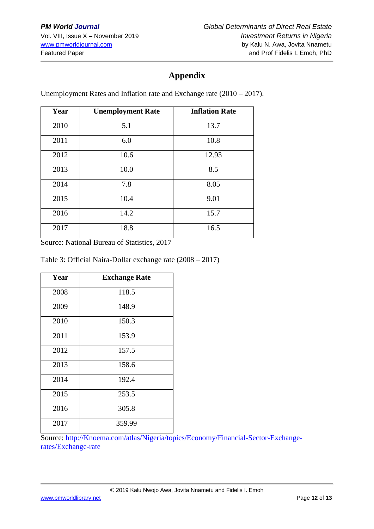# **Appendix**

Unemployment Rates and Inflation rate and Exchange rate (2010 – 2017).

| Year | <b>Unemployment Rate</b> | <b>Inflation Rate</b> |
|------|--------------------------|-----------------------|
| 2010 | 5.1                      | 13.7                  |
| 2011 | 6.0                      | 10.8                  |
| 2012 | 10.6                     | 12.93                 |
| 2013 | 10.0                     | 8.5                   |
| 2014 | 7.8                      | 8.05                  |
| 2015 | 10.4                     | 9.01                  |
| 2016 | 14.2                     | 15.7                  |
| 2017 | 18.8                     | 16.5                  |

Source: National Bureau of Statistics, 2017

#### Table 3: Official Naira-Dollar exchange rate (2008 – 2017)

| Year | <b>Exchange Rate</b> |
|------|----------------------|
| 2008 | 118.5                |
| 2009 | 148.9                |
| 2010 | 150.3                |
| 2011 | 153.9                |
| 2012 | 157.5                |
| 2013 | 158.6                |
| 2014 | 192.4                |
| 2015 | 253.5                |
| 2016 | 305.8                |
| 2017 | 359.99               |

Source: [http://Knoema.com/atlas/Nigeria/topics/Economy/Financial-Sector-Exchange](http://knoema.com/atlas/Nigeria/topics/Economy/Financial-Sector-Exchange-)rates/Exchange-rate